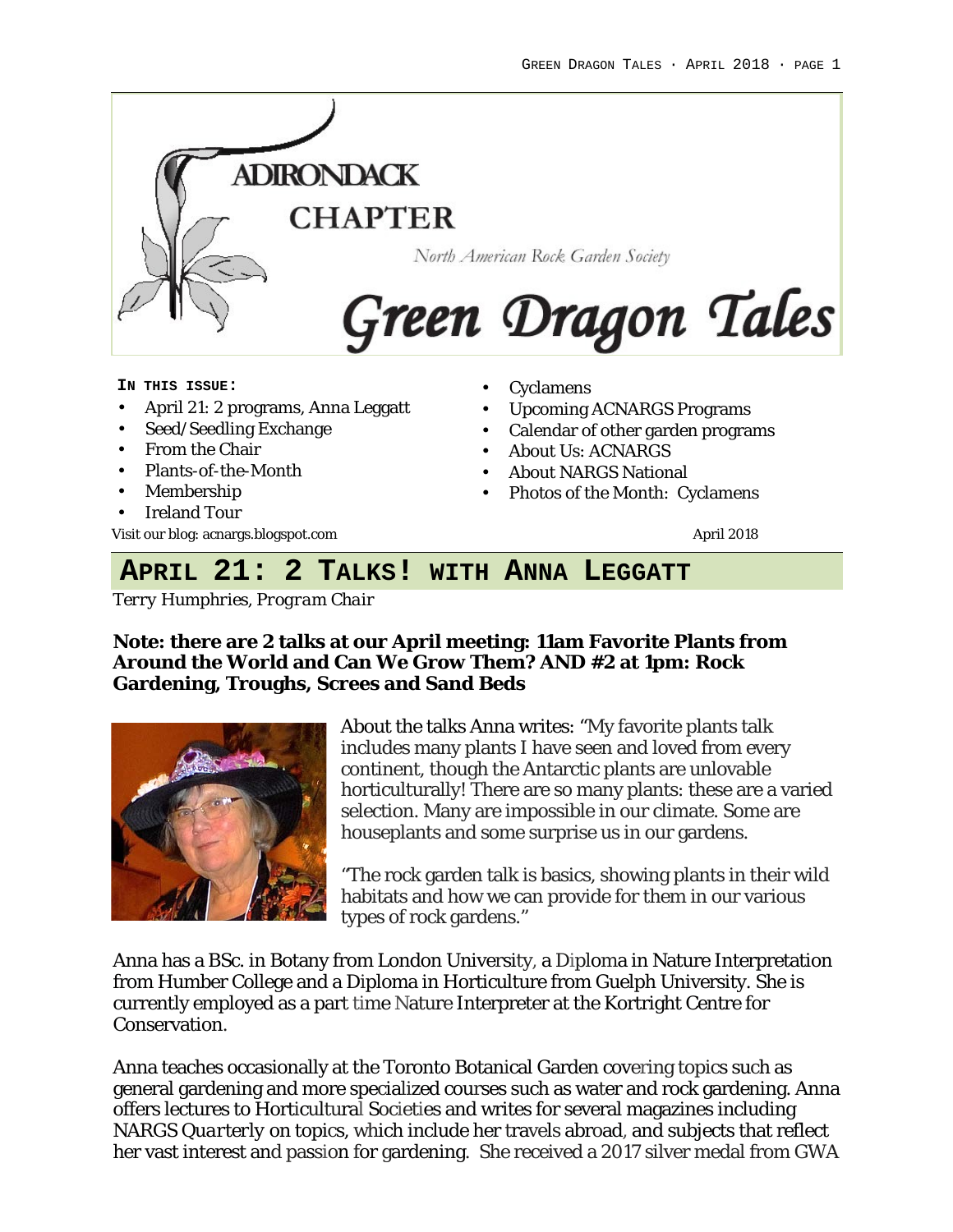

#### **IN THIS ISSUE:**

- April 21: 2 programs, Anna Leggatt
- Seed/Seedling Exchange
- From the Chair
- Plants-of-the-Month
- Membership
- Ireland Tour

Visit our blog: acnargs.blogspot.com April 2018

- Cyclamens
- Upcoming ACNARGS Programs
- Calendar of other garden programs
- About Us: ACNARGS
- About NARGS National
- Photos of the Month: Cyclamens

## **APRIL 21: 2 TALKS! WITH ANNA LEGGATT**

*Terry Humphries, Program Chair*

**Note: there are 2 talks at our April meeting: 11am Favorite Plants from Around the World and Can We Grow Them? AND #2 at 1pm: Rock Gardening, Troughs, Screes and Sand Beds**



About the talks Anna writes: "My favorite plants talk includes many plants I have seen and loved from every continent, though the Antarctic plants are unlovable horticulturally! There are so many plants: these are a varied selection. Many are impossible in our climate. Some are houseplants and some surprise us in our gardens.

"The rock garden talk is basics, showing plants in their wild habitats and how we can provide for them in our various types of rock gardens."

Anna has a BSc. in Botany from London University, a Diploma in Nature Interpretation from Humber College and a Diploma in Horticulture from Guelph University. She is currently employed as a part time Nature Interpreter at the Kortright Centre for Conservation.

Anna teaches occasionally at the Toronto Botanical Garden covering topics such as general gardening and more specialized courses such as water and rock gardening. Anna offers lectures to Horticultural Societies and writes for several magazines including *NARGS Quarterly* on topics, which include her travels abroad, and subjects that reflect her vast interest and passion for gardening. She received a 2017 silver medal from GWA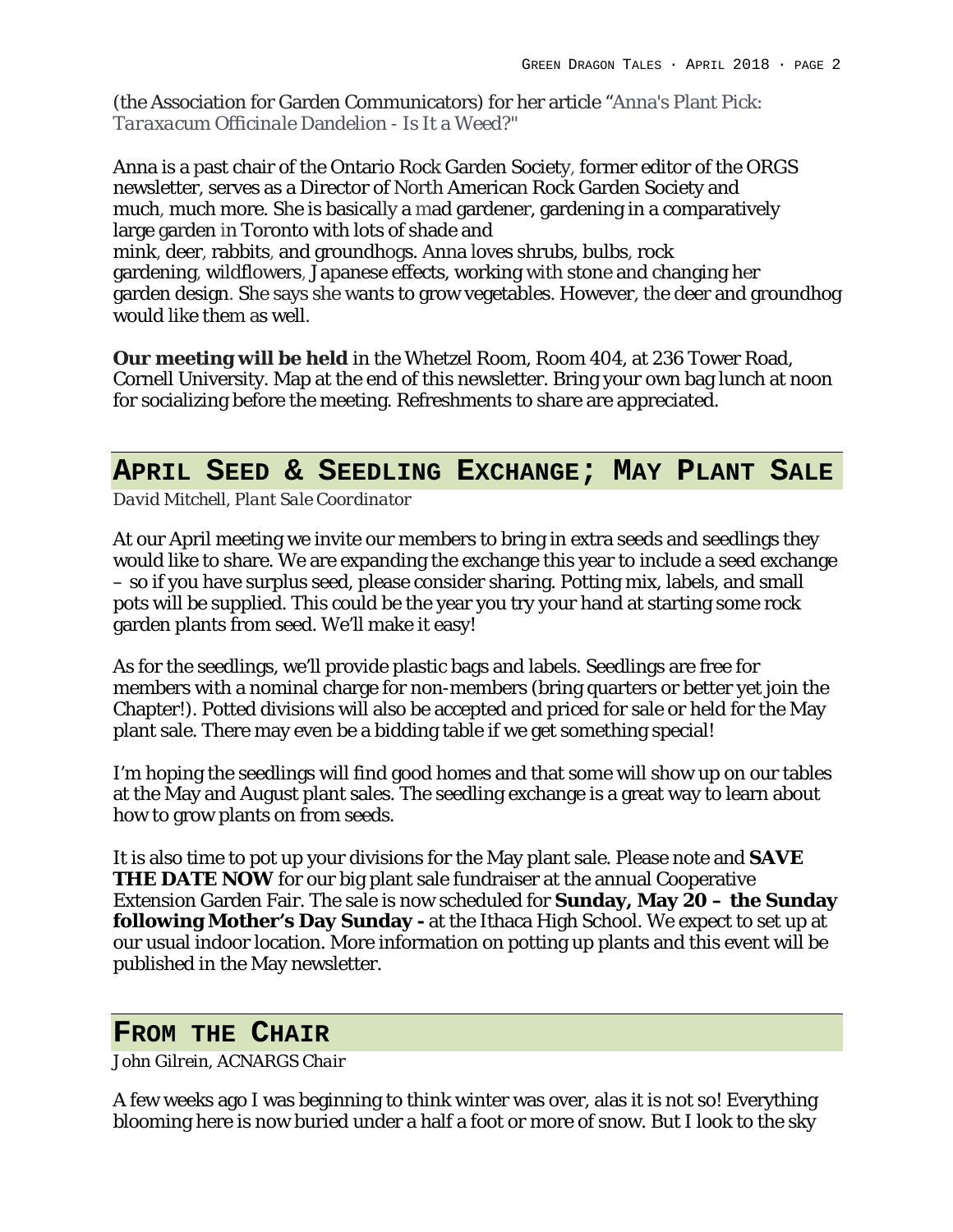(the Association for Garden Communicators) for her article "Anna's Plant Pick: *Taraxacum Officinale* Dandelion - Is It a Weed?"

Anna is a past chair of the Ontario Rock Garden Society, former editor of the ORGS newsletter, serves as a Director of North American Rock Garden Society and much, much more. She is basically a mad gardener, gardening in a comparatively large garden in Toronto with lots of shade and mink, deer, rabbits, and groundhogs. Anna loves shrubs, bulbs, rock gardening, wildflowers, Japanese effects, working with stone and changing her garden design. She says she wants to grow vegetables. However, the deer and groundhog would like them as well.

**Our meeting will be held** in the Whetzel Room, Room 404, at 236 Tower Road, Cornell University. Map at the end of this newsletter. Bring your own bag lunch at noon for socializing before the meeting. Refreshments to share are appreciated.

### **APRIL SEED & SEEDLING EXCHANGE; MAY PLANT SALE**

*David Mitchell, Plant Sale Coordinator*

At our April meeting we invite our members to bring in extra seeds and seedlings they would like to share. We are expanding the exchange this year to include a seed exchange – so if you have surplus seed, please consider sharing. Potting mix, labels, and small pots will be supplied. This could be the year you try your hand at starting some rock garden plants from seed. We'll make it easy!

As for the seedlings, we'll provide plastic bags and labels. Seedlings are free for members with a nominal charge for non-members (bring quarters or better yet join the Chapter!). Potted divisions will also be accepted and priced for sale or held for the May plant sale. There may even be a bidding table if we get something special!

I'm hoping the seedlings will find good homes and that some will show up on our tables at the May and August plant sales. The seedling exchange is a great way to learn about how to grow plants on from seeds.

It is also time to pot up your divisions for the May plant sale. Please note and **SAVE THE DATE NOW** for our big plant sale fundraiser at the annual Cooperative Extension Garden Fair. The sale is now scheduled for **Sunday, May 20 – the Sunday following Mother's Day Sunday -** at the Ithaca High School. We expect to set up at our usual indoor location. More information on potting up plants and this event will be published in the May newsletter.

### **FROM THE CHAIR**

*John Gilrein, ACNARGS Chair*

A few weeks ago I was beginning to think winter was over, alas it is not so! Everything blooming here is now buried under a half a foot or more of snow. But I look to the sky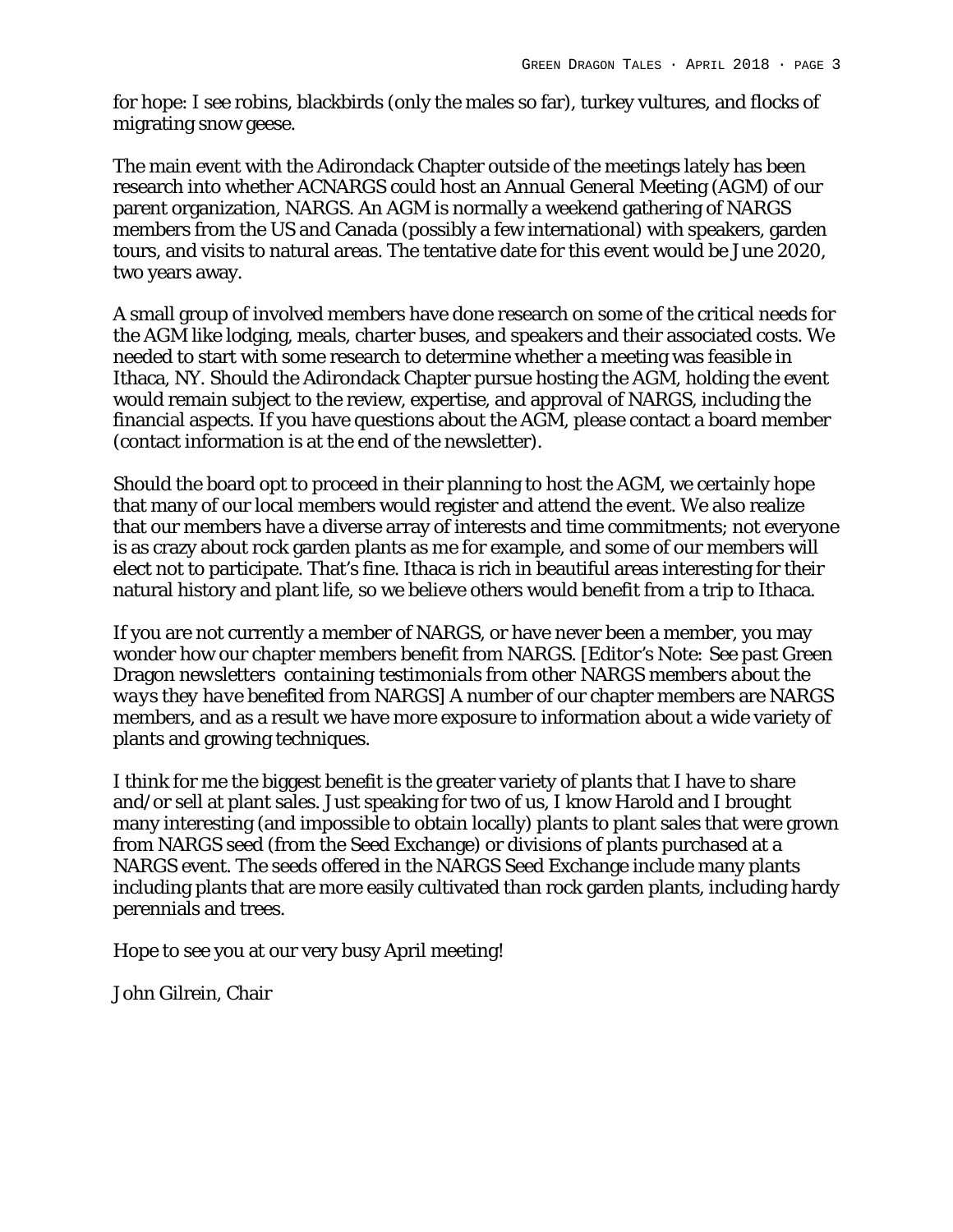for hope: I see robins, blackbirds (only the males so far), turkey vultures, and flocks of migrating snow geese.

The main event with the Adirondack Chapter outside of the meetings lately has been research into whether ACNARGS could host an Annual General Meeting (AGM) of our parent organization, NARGS. An AGM is normally a weekend gathering of NARGS members from the US and Canada (possibly a few international) with speakers, garden tours, and visits to natural areas. The tentative date for this event would be June 2020, two years away.

A small group of involved members have done research on some of the critical needs for the AGM like lodging, meals, charter buses, and speakers and their associated costs. We needed to start with some research to determine whether a meeting was feasible in Ithaca, NY. Should the Adirondack Chapter pursue hosting the AGM, holding the event would remain subject to the review, expertise, and approval of NARGS, including the financial aspects. If you have questions about the AGM, please contact a board member (contact information is at the end of the newsletter).

Should the board opt to proceed in their planning to host the AGM, we certainly hope that many of our local members would register and attend the event. We also realize that our members have a diverse array of interests and time commitments; not everyone is as crazy about rock garden plants as me for example, and some of our members will elect not to participate. That's fine. Ithaca is rich in beautiful areas interesting for their natural history and plant life, so we believe others would benefit from a trip to Ithaca.

If you are not currently a member of NARGS, or have never been a member, you may wonder how our chapter members benefit from NARGS. *[Editor's Note: See past* Green Dragon *newsletters containing testimonials from other NARGS members about the ways they have benefited from NARGS]* A number of our chapter members are NARGS members, and as a result we have more exposure to information about a wide variety of plants and growing techniques.

I think for me the biggest benefit is the greater variety of plants that I have to share and/or sell at plant sales. Just speaking for two of us, I know Harold and I brought many interesting (and impossible to obtain locally) plants to plant sales that were grown from NARGS seed (from the Seed Exchange) or divisions of plants purchased at a NARGS event. The seeds offered in the NARGS Seed Exchange include many plants including plants that are more easily cultivated than rock garden plants, including hardy perennials and trees.

Hope to see you at our very busy April meeting!

John Gilrein, Chair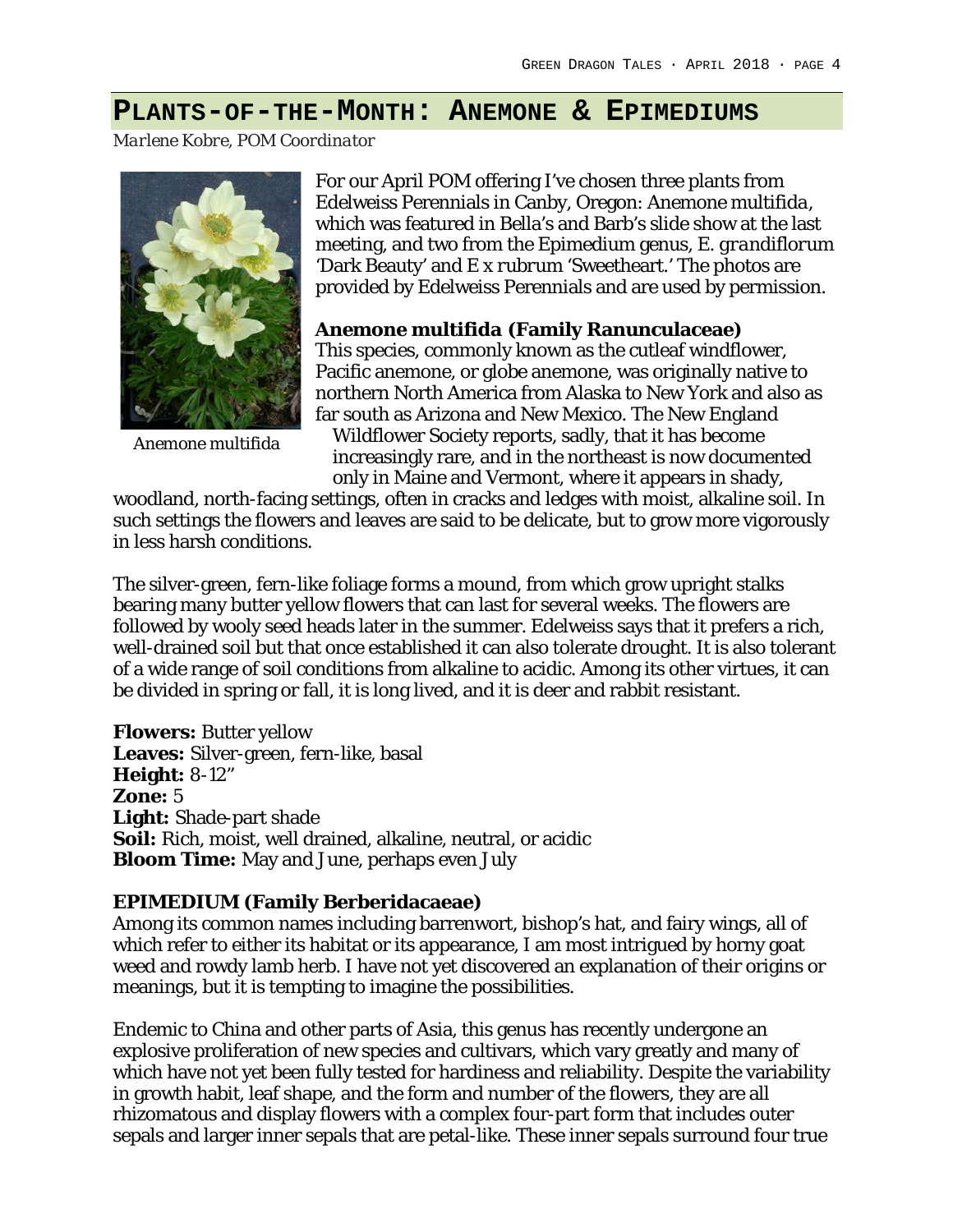## **PLANTS-OF-THE-MONTH: ANEMONE & EPIMEDIUMS**

*Marlene Kobre, POM Coordinator*



*Anemone multifida*

For our April POM offering I've chosen three plants from Edelweiss Perennials in Canby, Oregon: *Anemone multifida*, which was featured in Bella's and Barb's slide show at the last meeting, and two from the Epimedium genus, *E. grandiflorum*  'Dark Beauty' and *E x rubrum* 'Sweetheart.' The photos are provided by Edelweiss Perennials and are used by permission.

*Anemone multifida* **(Family Ranunculaceae)**  This species, commonly known as the cutleaf windflower, Pacific anemone, or globe anemone, was originally native to northern North America from Alaska to New York and also as far south as Arizona and New Mexico. The New England Wildflower Society reports, sadly, that it has become increasingly rare, and in the northeast is now documented only in Maine and Vermont, where it appears in shady,

woodland, north-facing settings, often in cracks and ledges with moist, alkaline soil. In such settings the flowers and leaves are said to be delicate, but to grow more vigorously in less harsh conditions.

The silver-green, fern-like foliage forms a mound, from which grow upright stalks bearing many butter yellow flowers that can last for several weeks. The flowers are followed by wooly seed heads later in the summer. Edelweiss says that it prefers a rich, well-drained soil but that once established it can also tolerate drought. It is also tolerant of a wide range of soil conditions from alkaline to acidic. Among its other virtues, it can be divided in spring or fall, it is long lived, and it is deer and rabbit resistant.

**Flowers:** Butter yellow **Leaves:** Silver-green, fern-like, basal **Height:** 8-12" **Zone:** 5 **Light:** Shade-part shade **Soil:** Rich, moist, well drained, alkaline, neutral, or acidic **Bloom Time:** May and June, perhaps even July

#### **EPIMEDIUM (Family Berberidacaeae)**

Among its common names including barrenwort, bishop's hat, and fairy wings, all of which refer to either its habitat or its appearance, I am most intrigued by horny goat weed and rowdy lamb herb. I have not yet discovered an explanation of their origins or meanings, but it is tempting to imagine the possibilities.

Endemic to China and other parts of Asia, this genus has recently undergone an explosive proliferation of new species and cultivars, which vary greatly and many of which have not yet been fully tested for hardiness and reliability. Despite the variability in growth habit, leaf shape, and the form and number of the flowers, they are all rhizomatous and display flowers with a complex four-part form that includes outer sepals and larger inner sepals that are petal-like. These inner sepals surround four true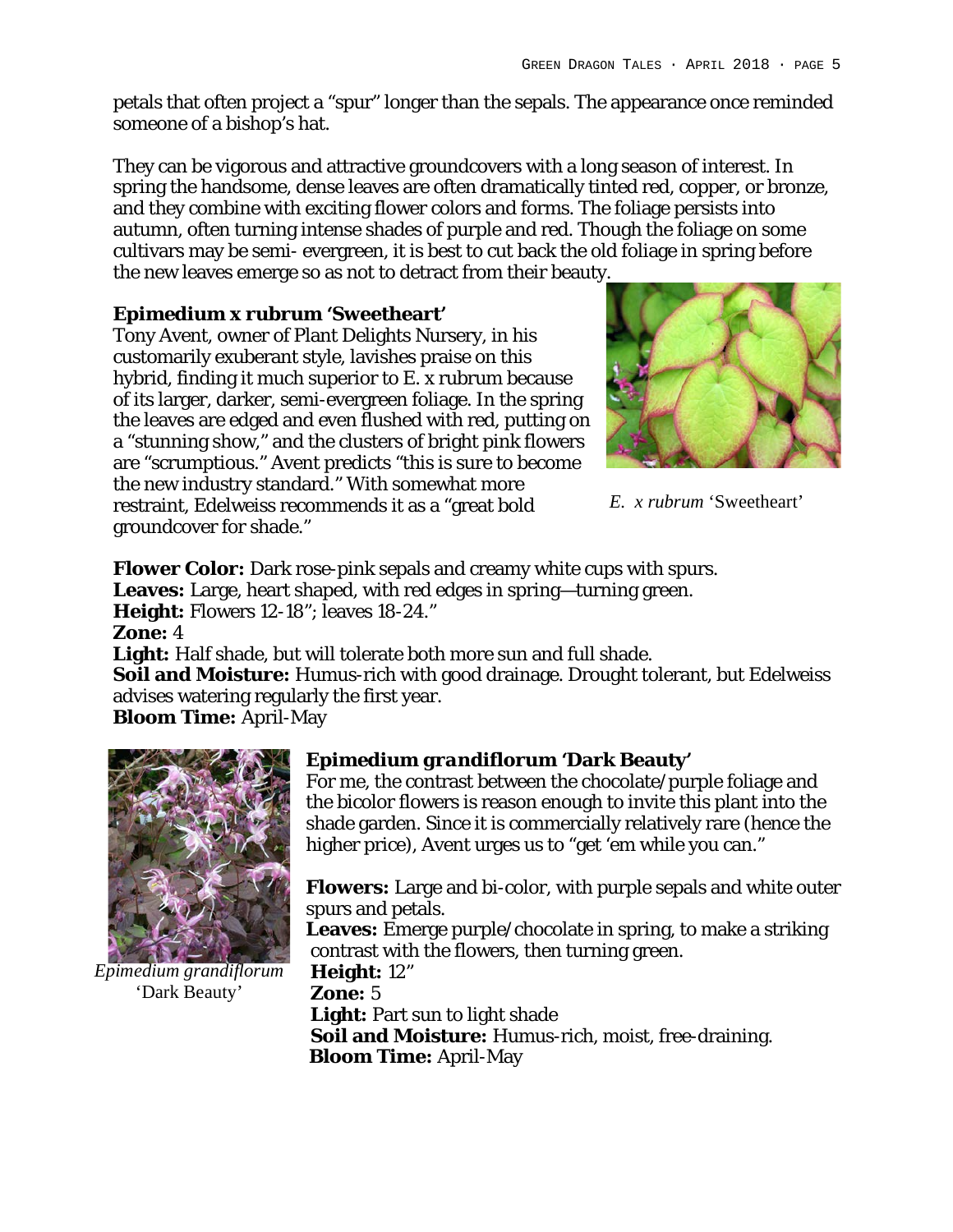petals that often project a "spur" longer than the sepals. The appearance once reminded someone of a bishop's hat.

They can be vigorous and attractive groundcovers with a long season of interest. In spring the handsome, dense leaves are often dramatically tinted red, copper, or bronze, and they combine with exciting flower colors and forms. The foliage persists into autumn, often turning intense shades of purple and red. Though the foliage on some cultivars may be semi- evergreen, it is best to cut back the old foliage in spring before the new leaves emerge so as not to detract from their beauty.

#### *Epimedium x rubrum* **'Sweetheart'**

Tony Avent, owner of Plant Delights Nursery, in his customarily exuberant style, lavishes praise on this hybrid, finding it much superior to E. x rubrum because of its larger, darker, semi-evergreen foliage. In the spring the leaves are edged and even flushed with red, putting on a "stunning show," and the clusters of bright pink flowers are "scrumptious." Avent predicts "this is sure to become the new industry standard." With somewhat more restraint, Edelweiss recommends it as a "great bold groundcover for shade."



*E. x rubrum* 'Sweetheart'

**Flower Color:** Dark rose-pink sepals and creamy white cups with spurs. **Leaves:** Large, heart shaped, with red edges in spring—turning green. **Height:** Flowers 12-18"; leaves 18-24." **Zone:** 4 **Light:** Half shade, but will tolerate both more sun and full shade.

**Soil and Moisture:** Humus-rich with good drainage. Drought tolerant, but Edelweiss advises watering regularly the first year.

**Bloom Time:** April-May



*Epimedium grandiflorum* 'Dark Beauty'

#### *Epimedium grandiflorum* **'Dark Beauty'**

For me, the contrast between the chocolate/purple foliage and the bicolor flowers is reason enough to invite this plant into the shade garden. Since it is commercially relatively rare (hence the higher price), Avent urges us to "get 'em while you can."

**Flowers:** Large and bi-color, with purple sepals and white outer spurs and petals.

**Leaves:** Emerge purple/chocolate in spring, to make a striking contrast with the flowers, then turning green.

**Height:** 12" **Zone:** 5 Light: Part sun to light shade **Soil and Moisture:** Humus-rich, moist, free-draining. **Bloom Time:** April-May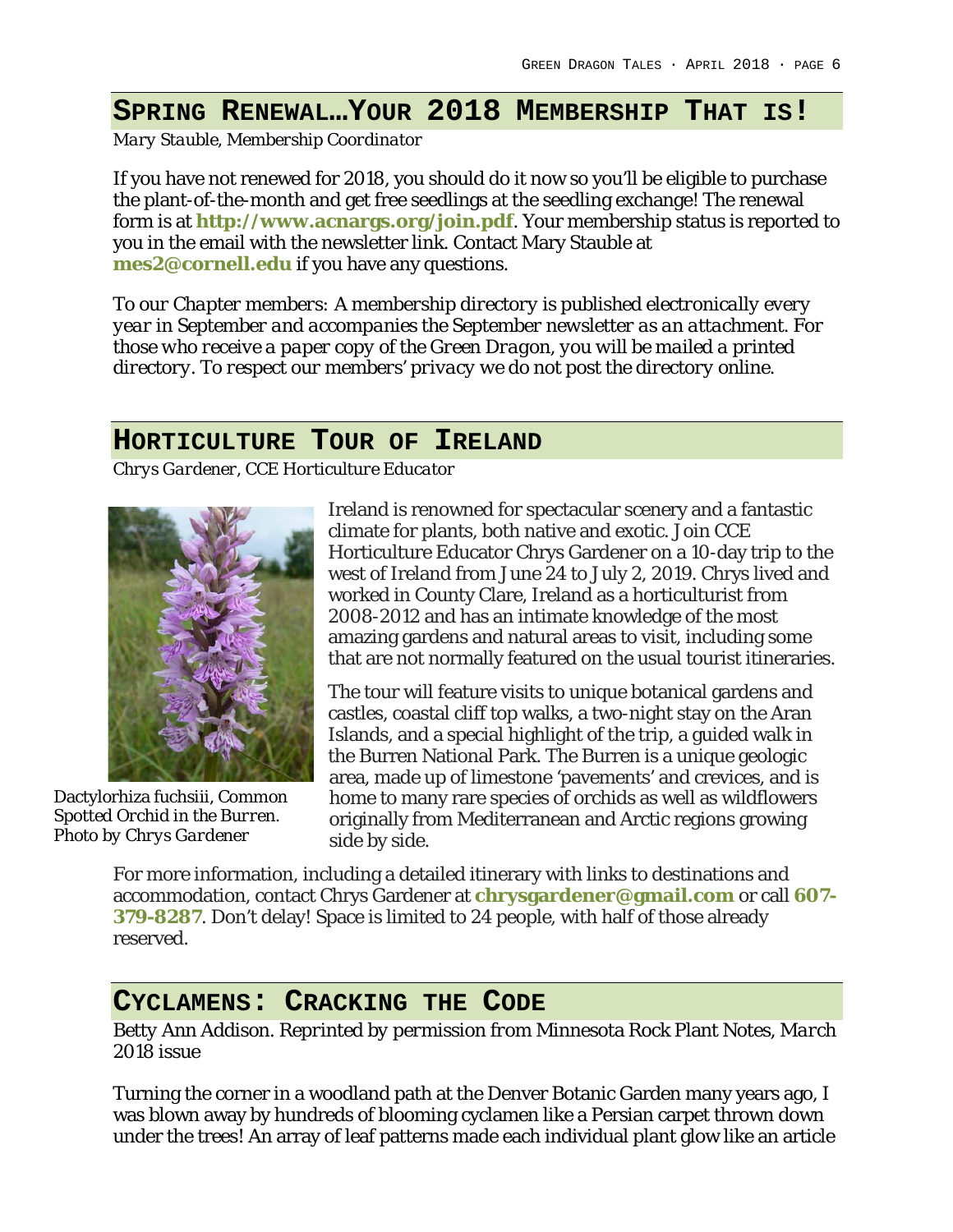# **SPRING RENEWAL…YOUR 2018 MEMBERSHIP THAT IS!**

*Mary Stauble, Membership Coordinator*

If you have not renewed for 2018, you should do it now so you'll be eligible to purchase the plant-of-the-month and get free seedlings at the seedling exchange! The renewal form is at **http://www.acnargs.org/join.pdf**. Your membership status is reported to you in the email with the newsletter link. Contact Mary Stauble at **mes2@cornell.edu** if you have any questions.

*To our Chapter members: A membership directory is published electronically every year in September and accompanies the September newsletter as an attachment. For those who receive a paper copy of the Green Dragon, you will be mailed a printed directory. To respect our members' privacy we do not post the directory online.*

### **HORTICULTURE TOUR OF IRELAND**

*Chrys Gardener, CCE Horticulture Educator*



Dactylorhiza fuchsiii, *Common Spotted Orchid in the Burren. Photo by Chrys Gardener*

Ireland is renowned for spectacular scenery and a fantastic climate for plants, both native and exotic. Join CCE Horticulture Educator Chrys Gardener on a 10-day trip to the west of Ireland from June 24 to July 2, 2019. Chrys lived and worked in County Clare, Ireland as a horticulturist from 2008-2012 and has an intimate knowledge of the most amazing gardens and natural areas to visit, including some that are not normally featured on the usual tourist itineraries.

The tour will feature visits to unique botanical gardens and castles, coastal cliff top walks, a two-night stay on the Aran Islands, and a special highlight of the trip, a guided walk in the Burren National Park. The Burren is a unique geologic area, made up of limestone 'pavements' and crevices, and is home to many rare species of orchids as well as wildflowers originally from Mediterranean and Arctic regions growing side by side.

For more information, including a detailed itinerary with links to destinations and accommodation, contact Chrys Gardener at **chrysgardener@gmail.com** or call **607- 379-8287**. Don't delay! Space is limited to 24 people, with half of those already reserved.

## **CYCLAMENS: CRACKING THE CODE**

*Betty Ann Addison. Reprinted by permission from* Minnesota Rock Plant Notes*, March 2018 issue*

Turning the corner in a woodland path at the Denver Botanic Garden many years ago, I was blown away by hundreds of blooming cyclamen like a Persian carpet thrown down under the trees! An array of leaf patterns made each individual plant glow like an article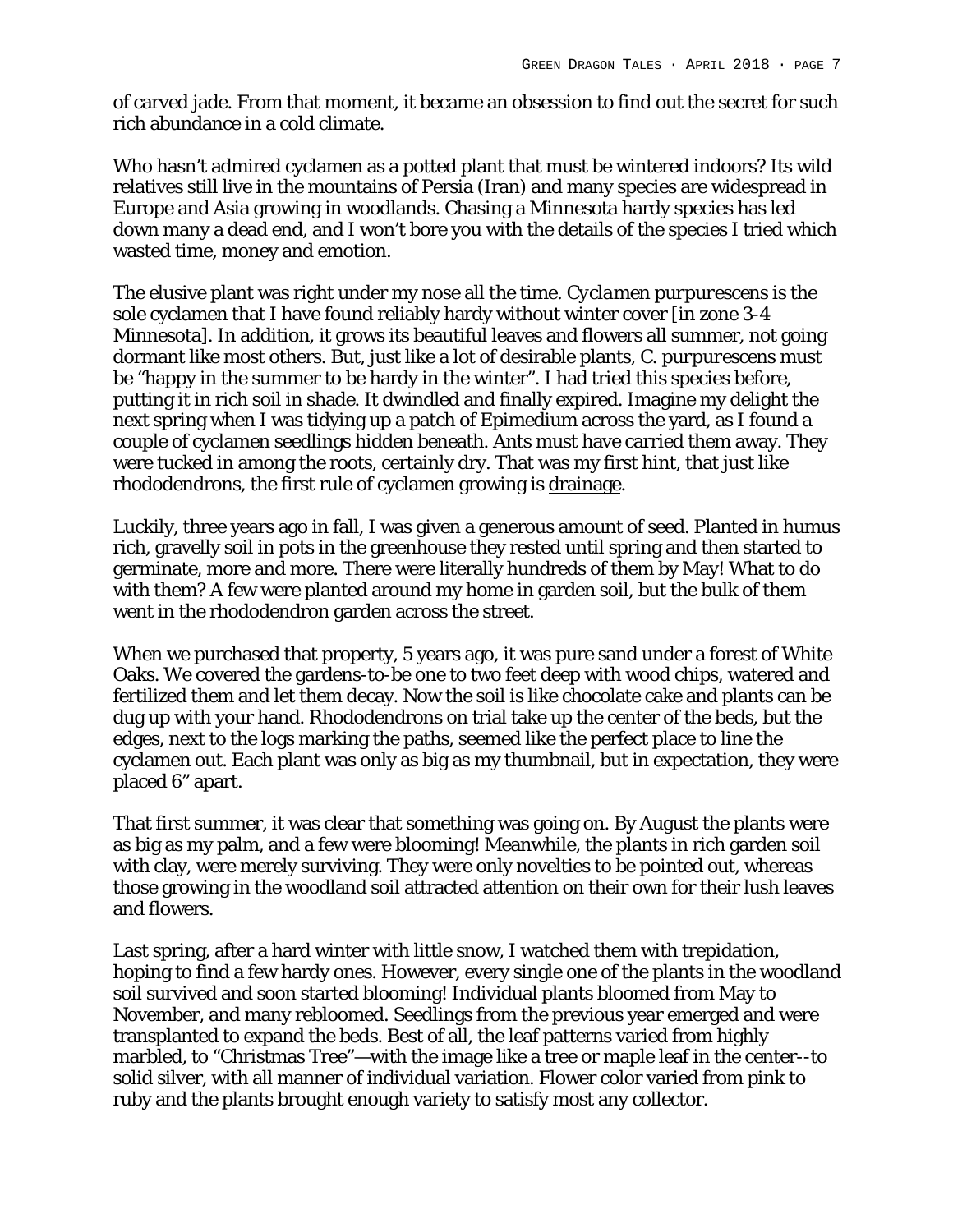of carved jade. From that moment, it became an obsession to find out the secret for such rich abundance in a cold climate.

Who hasn't admired cyclamen as a potted plant that must be wintered indoors? Its wild relatives still live in the mountains of Persia (Iran) and many species are widespread in Europe and Asia growing in woodlands. Chasing a Minnesota hardy species has led down many a dead end, and I won't bore you with the details of the species I tried which wasted time, money and emotion.

The elusive plant was right under my nose all the time. *Cyclamen purpurescens* is the sole cyclamen that I have found reliably hardy without winter cover [in zone 3-4 Minnesota]. In addition, it grows its beautiful leaves and flowers all summer, not going dormant like most others. But, just like a lot of desirable plants, *C. purpurescens* must be "happy in the summer to be hardy in the winter". I had tried this species before, putting it in rich soil in shade. It dwindled and finally expired. Imagine my delight the next spring when I was tidying up a patch of Epimedium across the yard, as I found a couple of cyclamen seedlings hidden beneath. Ants must have carried them away. They were tucked in among the roots, certainly dry. That was my first hint, that just like rhododendrons, the first rule of cyclamen growing is drainage.

Luckily, three years ago in fall, I was given a generous amount of seed. Planted in humus rich, gravelly soil in pots in the greenhouse they rested until spring and then started to germinate, more and more. There were literally hundreds of them by May! What to do with them? A few were planted around my home in garden soil, but the bulk of them went in the rhododendron garden across the street.

When we purchased that property, 5 years ago, it was pure sand under a forest of White Oaks. We covered the gardens-to-be one to two feet deep with wood chips, watered and fertilized them and let them decay. Now the soil is like chocolate cake and plants can be dug up with your hand. Rhododendrons on trial take up the center of the beds, but the edges, next to the logs marking the paths, seemed like the perfect place to line the cyclamen out. Each plant was only as big as my thumbnail, but in expectation, they were placed 6" apart.

That first summer, it was clear that something was going on. By August the plants were as big as my palm, and a few were blooming! Meanwhile, the plants in rich garden soil with clay, were merely surviving. They were only novelties to be pointed out, whereas those growing in the woodland soil attracted attention on their own for their lush leaves and flowers.

Last spring, after a hard winter with little snow, I watched them with trepidation, hoping to find a few hardy ones. However, every single one of the plants in the woodland soil survived and soon started blooming! Individual plants bloomed from May to November, and many rebloomed. Seedlings from the previous year emerged and were transplanted to expand the beds. Best of all, the leaf patterns varied from highly marbled, to "Christmas Tree"—with the image like a tree or maple leaf in the center--to solid silver, with all manner of individual variation. Flower color varied from pink to ruby and the plants brought enough variety to satisfy most any collector.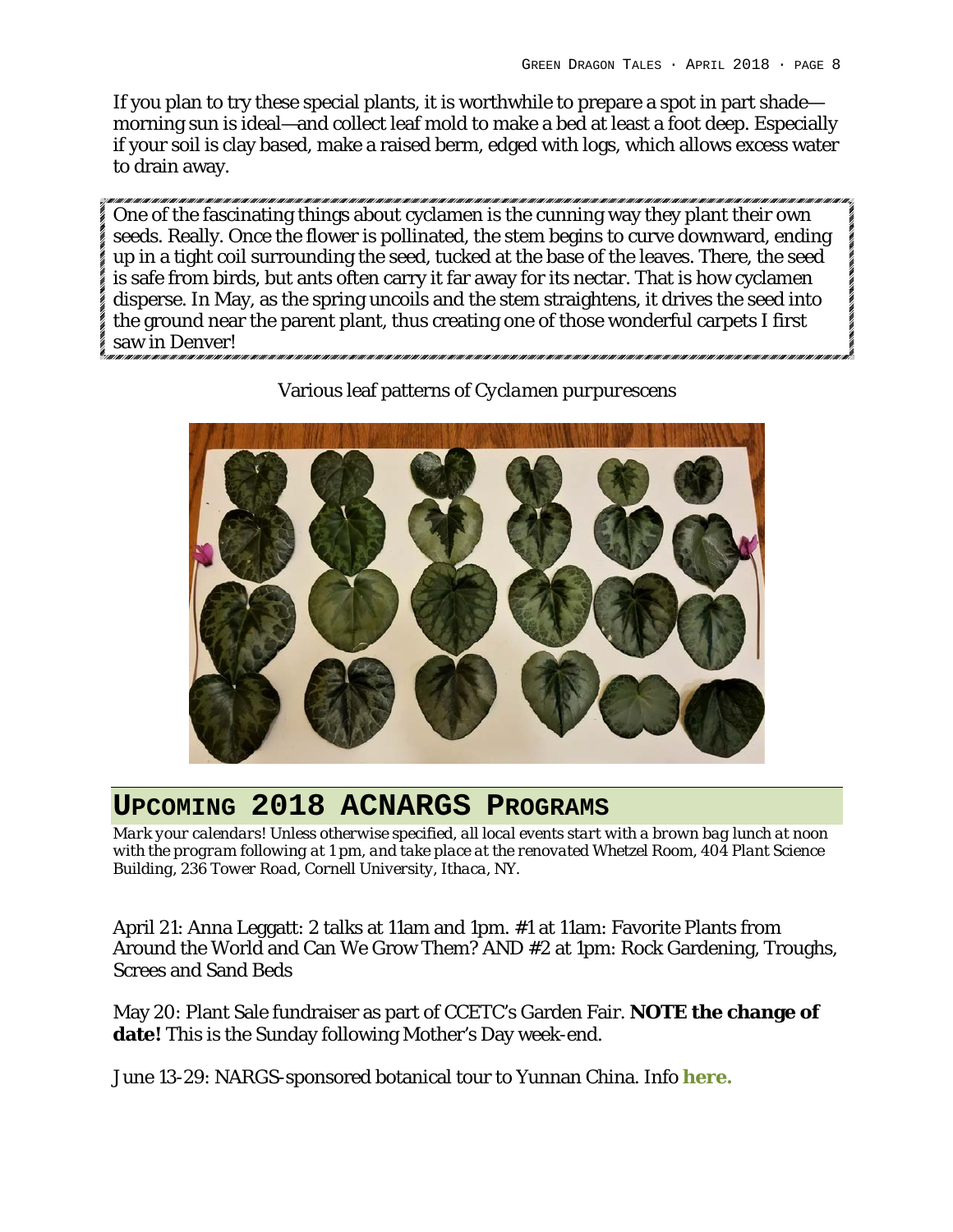If you plan to try these special plants, it is worthwhile to prepare a spot in part shade morning sun is ideal—and collect leaf mold to make a bed at least a foot deep. Especially if your soil is clay based, make a raised berm, edged with logs, which allows excess water to drain away.

One of the fascinating things about cyclamen is the cunning way they plant their own seeds. Really. Once the flower is pollinated, the stem begins to curve downward, ending up in a tight coil surrounding the seed, tucked at the base of the leaves. There, the seed is safe from birds, but ants often carry it far away for its nectar. That is how cyclamen disperse. In May, as the spring uncoils and the stem straightens, it drives the seed into the ground near the parent plant, thus creating one of those wonderful carpets I first saw in Denver!



Various leaf patterns of *Cyclamen purpurescens*

# **UPCOMING 2018 ACNARGS PROGRAMS**

*Mark your calendars! Unless otherwise specified, all local events start with a brown bag lunch at noon with the program following at 1 pm, and take place at the renovated Whetzel Room, 404 Plant Science Building, 236 Tower Road, Cornell University, Ithaca, NY.*

April 21: Anna Leggatt: 2 talks at 11am and 1pm. #1 at 11am: Favorite Plants from Around the World and Can We Grow Them? AND #2 at 1pm: Rock Gardening, Troughs, Screes and Sand Beds

May 20: Plant Sale fundraiser as part of CCETC's Garden Fair. **NOTE the change of date!** This is the Sunday following Mother's Day week-end.

June 13-29: NARGS-sponsored botanical tour to Yunnan China. Info **here.**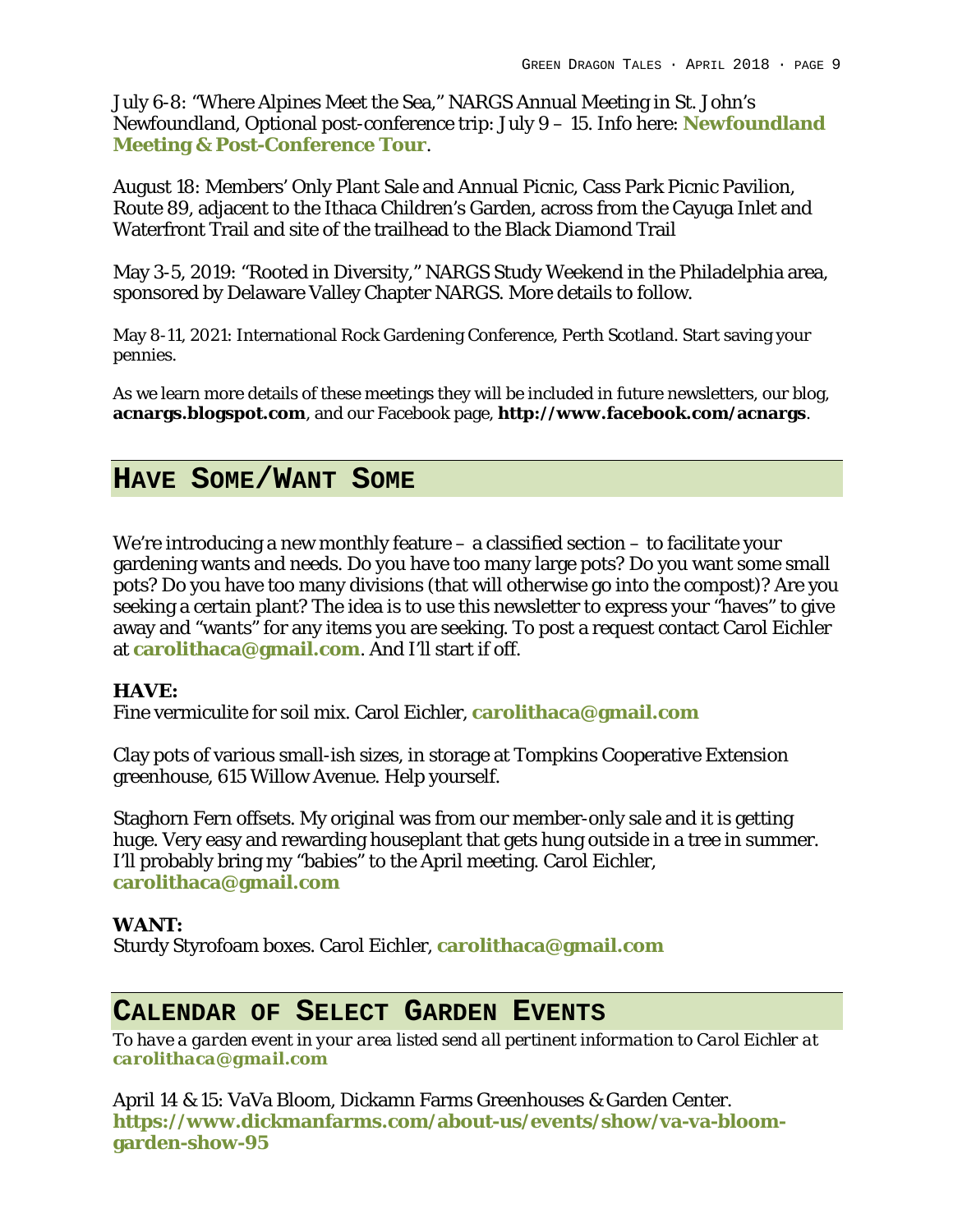July 6-8: "Where Alpines Meet the Sea," NARGS Annual Meeting in St. John's Newfoundland, Optional post-conference trip: July 9 – 15. Info here: **Newfoundland Meeting & Post-Conference Tour**.

August 18: Members' Only Plant Sale and Annual Picnic, Cass Park Picnic Pavilion, Route 89, adjacent to the Ithaca Children's Garden, across from the Cayuga Inlet and Waterfront Trail and site of the trailhead to the Black Diamond Trail

May 3-5, 2019: "Rooted in Diversity," NARGS Study Weekend in the Philadelphia area, sponsored by Delaware Valley Chapter NARGS. More details to follow.

May 8-11, 2021: International Rock Gardening Conference, Perth Scotland. Start saving your pennies.

As we learn more details of these meetings they will be included in future newsletters, our blog, **acnargs.blogspot.com**, and our Facebook page, **http://www.facebook.com/acnargs**.

## **HAVE SOME/WANT SOME**

We're introducing a new monthly feature – a classified section – to facilitate your gardening wants and needs. Do you have too many large pots? Do you want some small pots? Do you have too many divisions (that will otherwise go into the compost)? Are you seeking a certain plant? The idea is to use this newsletter to express your "haves" to give away and "wants" for any items you are seeking. To post a request contact Carol Eichler at **carolithaca@gmail.com**. And I'll start if off.

**HAVE:**

Fine vermiculite for soil mix. Carol Eichler, **carolithaca@gmail.com**

Clay pots of various small-ish sizes, in storage at Tompkins Cooperative Extension greenhouse, 615 Willow Avenue. Help yourself.

Staghorn Fern offsets. My original was from our member-only sale and it is getting huge. Very easy and rewarding houseplant that gets hung outside in a tree in summer. I'll probably bring my "babies" to the April meeting. Carol Eichler, **carolithaca@gmail.com**

**WANT:**

Sturdy Styrofoam boxes. Carol Eichler, **carolithaca@gmail.com**

## **CALENDAR OF SELECT GARDEN EVENTS**

*To have a garden event in your area listed send all pertinent information to Carol Eichler at carolithaca@gmail.com*

April 14 & 15: VaVa Bloom, Dickamn Farms Greenhouses & Garden Center. **https://www.dickmanfarms.com/about-us/events/show/va-va-bloomgarden-show-95**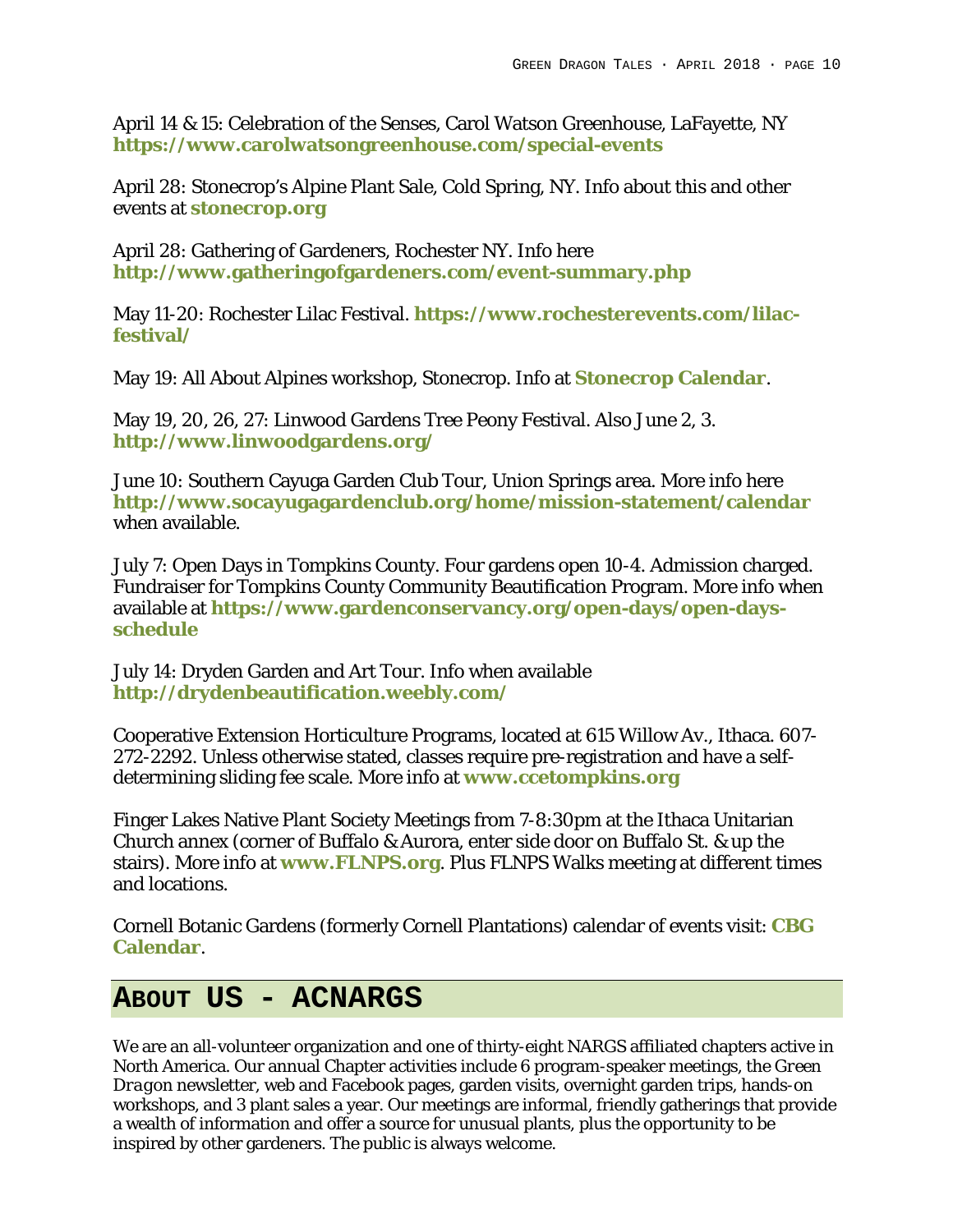April 14 & 15: Celebration of the Senses, Carol Watson Greenhouse, LaFayette, NY **https://www.carolwatsongreenhouse.com/special-events**

April 28: Stonecrop's Alpine Plant Sale, Cold Spring, NY. Info about this and other events at **stonecrop.org**

April 28: Gathering of Gardeners, Rochester NY. Info here **http://www.gatheringofgardeners.com/event-summary.php**

May 11-20: Rochester Lilac Festival. **https://www.rochesterevents.com/lilacfestival/**

May 19: All About Alpines workshop, Stonecrop. Info at **Stonecrop Calendar**.

May 19, 20, 26, 27: Linwood Gardens Tree Peony Festival. Also June 2, 3. **http://www.linwoodgardens.org/**

June 10: Southern Cayuga Garden Club Tour, Union Springs area. More info here **http://www.socayugagardenclub.org/home/mission-statement/calendar** when available.

July 7: Open Days in Tompkins County. Four gardens open 10-4. Admission charged. Fundraiser for Tompkins County Community Beautification Program. More info when available at **https://www.gardenconservancy.org/open-days/open-daysschedule**

July 14: Dryden Garden and Art Tour. Info when available **http://drydenbeautification.weebly.com/**

Cooperative Extension Horticulture Programs, located at 615 Willow Av., Ithaca. 607- 272-2292. Unless otherwise stated, classes require pre-registration and have a selfdetermining sliding fee scale. More info at **www.ccetompkins.org**

Finger Lakes Native Plant Society Meetings from 7-8:30pm at the Ithaca Unitarian Church annex (corner of Buffalo & Aurora, enter side door on Buffalo St. & up the stairs). More info at **www.FLNPS.org**. Plus FLNPS Walks meeting at different times and locations.

Cornell Botanic Gardens (formerly Cornell Plantations) calendar of events visit: **CBG Calendar**.

# **ABOUT US - ACNARGS**

We are an all-volunteer organization and one of thirty-eight NARGS affiliated chapters active in North America. Our annual Chapter activities include 6 program-speaker meetings, the *Green Dragon* newsletter, web and Facebook pages, garden visits, overnight garden trips, hands-on workshops, and 3 plant sales a year. Our meetings are informal, friendly gatherings that provide a wealth of information and offer a source for unusual plants, plus the opportunity to be inspired by other gardeners. The public is always welcome.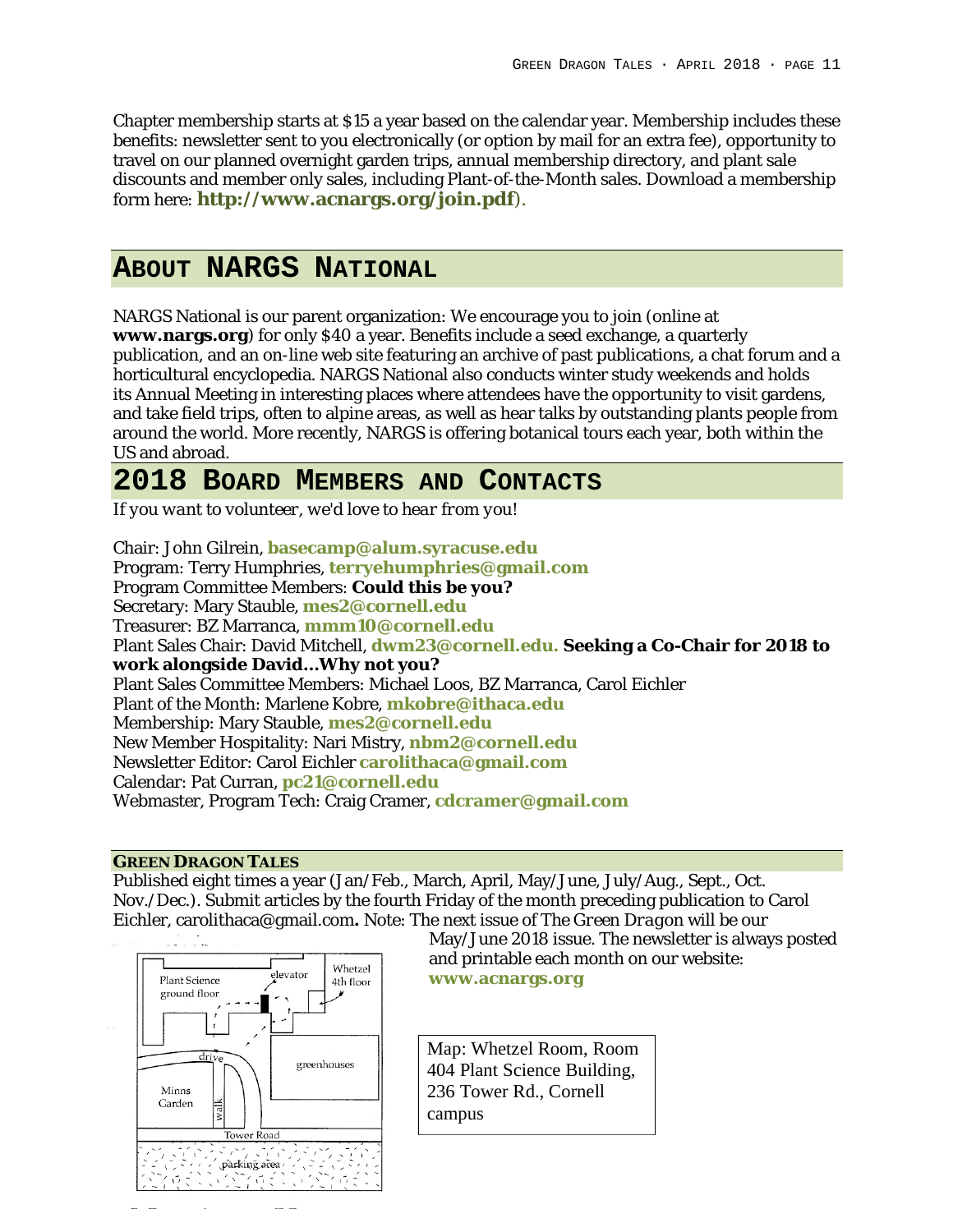Chapter membership starts at \$15 a year based on the calendar year. Membership includes these benefits: newsletter sent to you electronically (or option by mail for an extra fee), opportunity to travel on our planned overnight garden trips, annual membership directory, and plant sale discounts and member only sales, including Plant-of-the-Month sales. Download a membership form here: **http://www.acnargs.org/join.pdf**).

## **ABOUT NARGS NATIONAL**

NARGS National is our parent organization: We encourage you to join (online at **www.nargs.org**) for only \$40 a year. Benefits include a seed exchange, a quarterly publication, and an on-line web site featuring an archive of past publications, a chat forum and a horticultural encyclopedia. NARGS National also conducts winter study weekends and holds its Annual Meeting in interesting places where attendees have the opportunity to visit gardens, and take field trips, often to alpine areas, as well as hear talks by outstanding plants people from around the world. More recently, NARGS is offering botanical tours each year, both within the US and abroad.

## **2018 BOARD MEMBERS AND CONTACTS**

*If you want to volunteer, we'd love to hear from you!*

Chair: John Gilrein, **basecamp@alum.syracuse.edu** Program: Terry Humphries, **terryehumphries@gmail.com** Program Committee Members: **Could this be you?** Secretary: Mary Stauble, **mes2@cornell.edu** Treasurer: BZ Marranca, **mmm10@cornell.edu** Plant Sales Chair: David Mitchell, **dwm23@cornell.edu. Seeking a Co-Chair for 2018 to work alongside David…Why not you?** Plant Sales Committee Members: Michael Loos, BZ Marranca, Carol Eichler Plant of the Month: Marlene Kobre, **mkobre@ithaca.edu** Membership: Mary Stauble, **mes2@cornell.edu** New Member Hospitality: Nari Mistry, **nbm2@cornell.edu** Newsletter Editor: Carol Eichler **carolithaca@gmail.com** Calendar: Pat Curran, **pc21@cornell.edu** Webmaster, Program Tech: Craig Cramer, **cdcramer@gmail.com**

#### **GREEN DRAGON TALES**

Published eight times a year (Jan/Feb., March, April, May/June, July/Aug., Sept., Oct. Nov./Dec.). Submit articles by the fourth Friday of the month preceding publication to Carol Eichler, carolithaca@gmail.com**.** Note: The next issue of *The Green Dragon* will be our



May/June 2018 issue. The newsletter is always posted and printable each month on our website: **www.acnargs.org**

Map: Whetzel Room, Room 404 Plant Science Building, 236 Tower Rd., Cornell campus